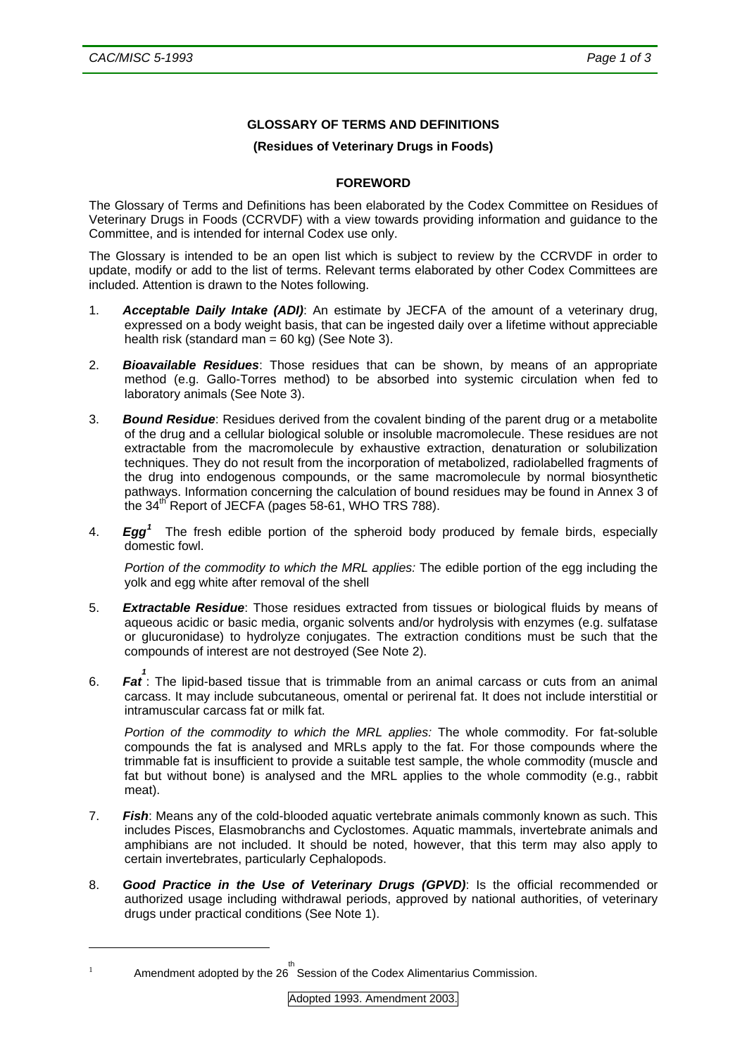## **GLOSSARY OF TERMS AND DEFINITIONS**

## **(Residues of Veterinary Drugs in Foods)**

## **FOREWORD**

The Glossary of Terms and Definitions has been elaborated by the Codex Committee on Residues of Veterinary Drugs in Foods (CCRVDF) with a view towards providing information and guidance to the Committee, and is intended for internal Codex use only.

The Glossary is intended to be an open list which is subject to review by the CCRVDF in order to update, modify or add to the list of terms. Relevant terms elaborated by other Codex Committees are included. Attention is drawn to the Notes following.

- 1. *Acceptable Daily Intake (ADI)*: An estimate by JECFA of the amount of a veterinary drug, expressed on a body weight basis, that can be ingested daily over a lifetime without appreciable health risk (standard man =  $60$  kg) (See Note 3).
- 2. *Bioavailable Residues*: Those residues that can be shown, by means of an appropriate method (e.g. Gallo-Torres method) to be absorbed into systemic circulation when fed to laboratory animals (See Note 3).
- 3. *Bound Residue*: Residues derived from the covalent binding of the parent drug or a metabolite of the drug and a cellular biological soluble or insoluble macromolecule. These residues are not extractable from the macromolecule by exhaustive extraction, denaturation or solubilization techniques. They do not result from the incorporation of metabolized, radiolabelled fragments of the drug into endogenous compounds, or the same macromolecule by normal biosynthetic pathways. Information concerning the calculation of bound residues may be found in Annex 3 of the  $34<sup>th</sup>$  Report of JECFA (pages 58-61, WHO TRS 788).
- 4. *Egg[1](#page-0-0)* The fresh edible portion of the spheroid body produced by female birds, especially domestic fowl.

*Portion of the commodity to which the MRL applies:* The edible portion of the egg including the yolk and egg white after removal of the shell

- 5. *Extractable Residue*: Those residues extracted from tissues or biological fluids by means of aqueous acidic or basic media, organic solvents and/or hydrolysis with enzymes (e.g. sulfatase or glucuronidase) to hydrolyze conjugates. The extraction conditions must be such that the compounds of interest are not destroyed (See Note 2).
- 6. **Fat**: The lipid-based tissue that is trimmable from an animal carcass or cuts from an animal carcass. It may include subcutaneous, omental or perirenal fat. It does not include interstitial or intramuscular carcass fat or milk fat.

*Portion of the commodity to which the MRL applies:* The whole commodity. For fat-soluble compounds the fat is analysed and MRLs apply to the fat. For those compounds where the trimmable fat is insufficient to provide a suitable test sample, the whole commodity (muscle and fat but without bone) is analysed and the MRL applies to the whole commodity (e.g., rabbit meat).

- 7. *Fish*: Means any of the cold-blooded aquatic vertebrate animals commonly known as such. This includes Pisces, Elasmobranchs and Cyclostomes. Aquatic mammals, invertebrate animals and amphibians are not included. It should be noted, however, that this term may also apply to certain invertebrates, particularly Cephalopods.
- 8. *Good Practice in the Use of Veterinary Drugs (GPVD)*: Is the official recommended or authorized usage including withdrawal periods, approved by national authorities, of veterinary drugs under practical conditions (See Note 1).

-

<span id="page-0-0"></span><sup>1</sup> Amendment adopted by the 26<sup>th</sup> Session of the Codex Alimentarius Commission.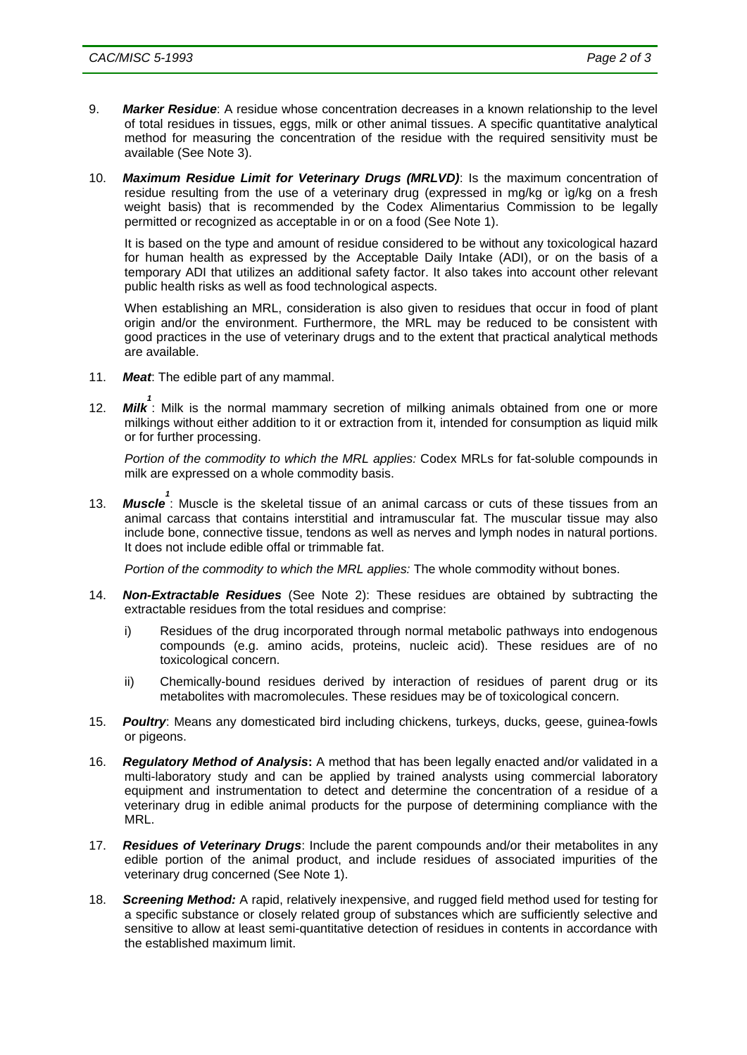- 9. *Marker Residue*: A residue whose concentration decreases in a known relationship to the level of total residues in tissues, eggs, milk or other animal tissues. A specific quantitative analytical method for measuring the concentration of the residue with the required sensitivity must be available (See Note 3).
- 10. *Maximum Residue Limit for Veterinary Drugs (MRLVD)*: Is the maximum concentration of residue resulting from the use of a veterinary drug (expressed in mg/kg or ìg/kg on a fresh weight basis) that is recommended by the Codex Alimentarius Commission to be legally permitted or recognized as acceptable in or on a food (See Note 1).

It is based on the type and amount of residue considered to be without any toxicological hazard for human health as expressed by the Acceptable Daily Intake (ADI), or on the basis of a temporary ADI that utilizes an additional safety factor. It also takes into account other relevant public health risks as well as food technological aspects.

When establishing an MRL, consideration is also given to residues that occur in food of plant origin and/or the environment. Furthermore, the MRL may be reduced to be consistent with good practices in the use of veterinary drugs and to the extent that practical analytical methods are available.

- 11. *Meat*: The edible part of any mammal.
- 12. *Milk 1* : Milk is the normal mammary secretion of milking animals obtained from one or more milkings without either addition to it or extraction from it, intended for consumption as liquid milk or for further processing.

*Portion of the commodity to which the MRL applies:* Codex MRLs for fat-soluble compounds in milk are expressed on a whole commodity basis.

13. *Muscle 1* : Muscle is the skeletal tissue of an animal carcass or cuts of these tissues from an animal carcass that contains interstitial and intramuscular fat. The muscular tissue may also include bone, connective tissue, tendons as well as nerves and lymph nodes in natural portions. It does not include edible offal or trimmable fat.

*Portion of the commodity to which the MRL applies:* The whole commodity without bones.

- 14. *Non-Extractable Residues* (See Note 2): These residues are obtained by subtracting the extractable residues from the total residues and comprise:
	- i) Residues of the drug incorporated through normal metabolic pathways into endogenous compounds (e.g. amino acids, proteins, nucleic acid). These residues are of no toxicological concern.
	- ii) Chemically-bound residues derived by interaction of residues of parent drug or its metabolites with macromolecules. These residues may be of toxicological concern.
- 15. *Poultry*: Means any domesticated bird including chickens, turkeys, ducks, geese, guinea-fowls or pigeons.
- 16. *Regulatory Method of Analysis***:** A method that has been legally enacted and/or validated in a multi-laboratory study and can be applied by trained analysts using commercial laboratory equipment and instrumentation to detect and determine the concentration of a residue of a veterinary drug in edible animal products for the purpose of determining compliance with the MRL.
- 17. *Residues of Veterinary Drugs*: Include the parent compounds and/or their metabolites in any edible portion of the animal product, and include residues of associated impurities of the veterinary drug concerned (See Note 1).
- 18. *Screening Method:* A rapid, relatively inexpensive, and rugged field method used for testing for a specific substance or closely related group of substances which are sufficiently selective and sensitive to allow at least semi-quantitative detection of residues in contents in accordance with the established maximum limit.